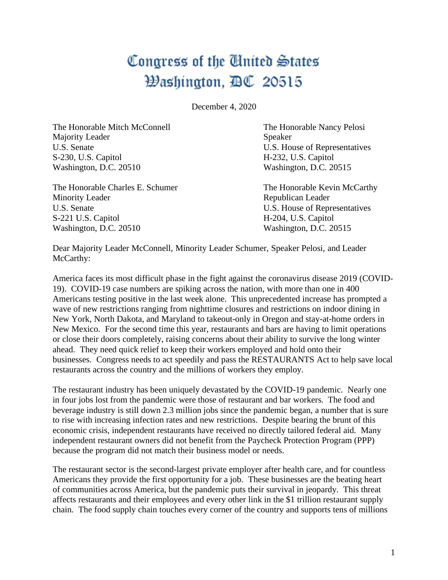## Congress of the United States Washington, BC 20515

December 4, 2020

The Honorable Mitch McConnell The Honorable Nancy Pelosi Majority Leader Speaker U.S. Senate U.S. House of Representatives S-230, U.S. Capitol H-232, U.S. Capitol Washington, D.C. 20510 Washington, D.C. 20515

The Honorable Charles E. Schumer The Honorable Kevin McCarthy Minority Leader **Republican Leader** Republican Leader U.S. Senate U.S. House of Representatives S-221 U.S. Capitol H-204, U.S. Capitol Washington, D.C. 20510 Washington, D.C. 20515

Dear Majority Leader McConnell, Minority Leader Schumer, Speaker Pelosi, and Leader McCarthy:

America faces its most difficult phase in the fight against the coronavirus disease 2019 (COVID-19). COVID-19 case numbers are spiking across the nation, with more than one in 400 Americans testing positive in the last week alone. This unprecedented increase has prompted a wave of new restrictions ranging from nighttime closures and restrictions on indoor dining in New York, North Dakota, and Maryland to takeout-only in Oregon and stay-at-home orders in New Mexico. For the second time this year, restaurants and bars are having to limit operations or close their doors completely, raising concerns about their ability to survive the long winter ahead. They need quick relief to keep their workers employed and hold onto their businesses. Congress needs to act speedily and pass the RESTAURANTS Act to help save local restaurants across the country and the millions of workers they employ.

The restaurant industry has been uniquely devastated by the COVID-19 pandemic. Nearly one in four jobs lost from the pandemic were those of restaurant and bar workers. The food and beverage industry is still down 2.3 million jobs since the pandemic began, a number that is sure to rise with increasing infection rates and new restrictions. Despite bearing the brunt of this economic crisis, independent restaurants have received no directly tailored federal aid. Many independent restaurant owners did not benefit from the Paycheck Protection Program (PPP) because the program did not match their business model or needs.

The restaurant sector is the second-largest private employer after health care, and for countless Americans they provide the first opportunity for a job. These businesses are the beating heart of communities across America, but the pandemic puts their survival in jeopardy. This threat affects restaurants and their employees and every other link in the \$1 trillion restaurant supply chain. The food supply chain touches every corner of the country and supports tens of millions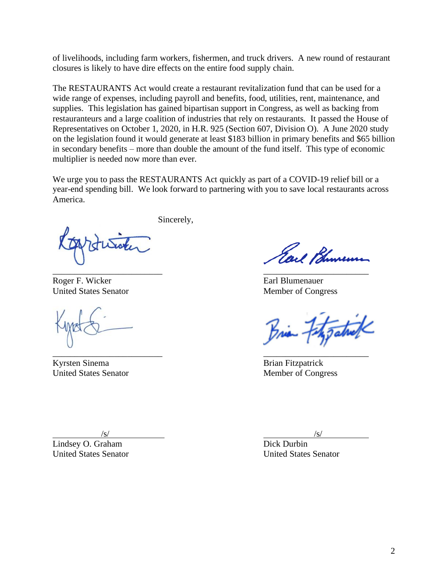of livelihoods, including farm workers, fishermen, and truck drivers. A new round of restaurant closures is likely to have dire effects on the entire food supply chain.

The RESTAURANTS Act would create a restaurant revitalization fund that can be used for a wide range of expenses, including payroll and benefits, food, utilities, rent, maintenance, and supplies. This legislation has gained bipartisan support in Congress, as well as backing from restauranteurs and a large coalition of industries that rely on restaurants. It passed the House of Representatives on October 1, 2020, in H.R. 925 (Section 607, Division O). A June 2020 study on the legislation found it would generate at least \$183 billion in primary benefits and \$65 billion in secondary benefits – more than double the amount of the fund itself. This type of economic multiplier is needed now more than ever.

We urge you to pass the RESTAURANTS Act quickly as part of a COVID-19 relief bill or a year-end spending bill. We look forward to partnering with you to save local restaurants across America.

Sincerely,

Roger F. Wicker Earl Blumenauer

\_\_\_\_\_\_\_\_\_\_\_\_\_\_\_\_\_\_\_\_\_\_\_\_\_ \_\_\_\_\_\_\_\_\_\_\_\_\_\_\_\_\_\_\_\_\_\_\_\_

Kyrsten Sinema Brian Fitzpatrick United States Senator **Member of Congress** 

Earl Bhureum \_\_\_\_\_\_\_\_\_\_\_\_\_\_\_\_\_\_\_\_\_\_\_\_\_ \_\_\_\_\_\_\_\_\_\_\_\_\_\_\_\_\_\_\_\_\_\_\_\_

United States Senator Member of Congress

Brian Feth Tatrick

 $\sqrt{s}$ /s/

Lindsey O. Graham Dick Durbin United States Senator United States Senator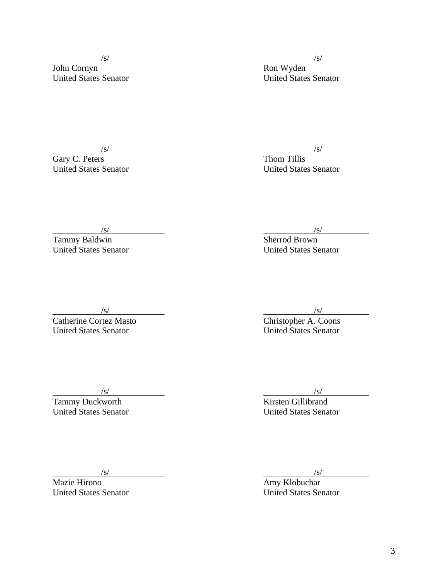$\sqrt{s}$ /s/

John Cornyn Ron Wyden

United States Senator United States Senator

Gary C. Peters Thom Tillis

 $\sqrt{s}$ /s/

United States Senator United States Senator

 $\frac{1}{s}$ /s/

Tammy Baldwin Sherrod Brown United States Senator United States Senator

Catherine Cortez Masto Christopher A. Coons Vertical Catherine Cortez Masto<br>
United States Senator<br>
United States Senator<br>
United States Senator

Tammy Duckworth **Kirsten Gillibrand** 

 $\sqrt{s}$ /s/

Mazie Hirono **Amy Klobuchar** Amy Klobuchar

 $\sqrt{s}$ /s/

 $\sqrt{s}$ /s/

United States Senator United States Senator

Vert<sup>/S/</sup><br>
Mazie Hirono *States* Senator *Maxie Hirono <i>Amy Klobuchar*<br>
United States Senator United States Senator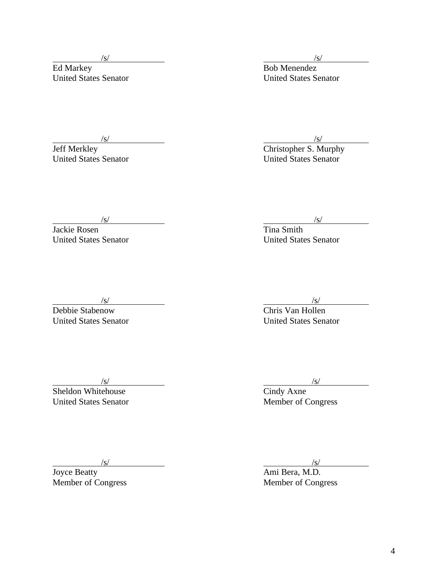$\sqrt{s}$ /s/

Ed Markey **Bob Menendez** United States Senator United States Senator

 $\sqrt{s}$ /s/

Jeff Merkley Christopher S. Murphy United States Senator United States Senator

 $\sqrt{s}$ /s/

Jackie Rosen Tina Smith United States Senator United States Senator

 $\sqrt{s}$ /s/

Debbie Stabenow Chris Van Hollen  $\frac{\sqrt{s}}{\sqrt{S}}$ <br>
Debbie Stabenow<br>
United States Senator<br>
United States Senator

Sheldon Whitehouse Cindy Axne Value (September of Cindy Axne (September of Congress)<br>United States Senator (Member of Congress)

 $\sqrt{s}$ /s/

 $\sqrt{s}$ /s/

Joyce Beatty **Ami Bera, M.D.** Ami Bera, M.D.

Member of Congress Member of Congress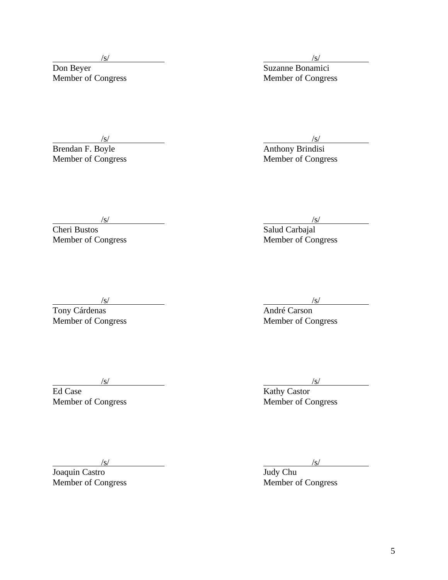Don Beyer Suzanne Bonamici New York (Stephen Congress Suzanne Bonamici<br>
Member of Congress Member of Congress Nember of Congress Suzanne Bonamici<br>
Member of Congress Suzanne Bonamici

Member of Congress

 $\sqrt{s}$ /s/

/s/<br>Anthony Brindisi S/<br>Brendan F. Boyle<br>Member of Congress<br>Member of Congress

 $\sqrt{s}$ /s/

Cheri Bustos Salud Carbajal Member of Congress (S)<br>
Member of Congress (Salud Carbajal<br>
Member of Congress (Salud Carbajal<br>
Member of Congress

Tony Cárdenas **André Carson** Member of Congress Member of Congress Member of Congress

 $\sqrt{s}$ /s/ Ed Case Kathy Castor

Member of Congress Member of Congress

 $\sqrt{s}$ /s/

Joaquin Castro Judy Chu

Member of Congress Member of Congress

 $\sqrt{s}$ /s/

5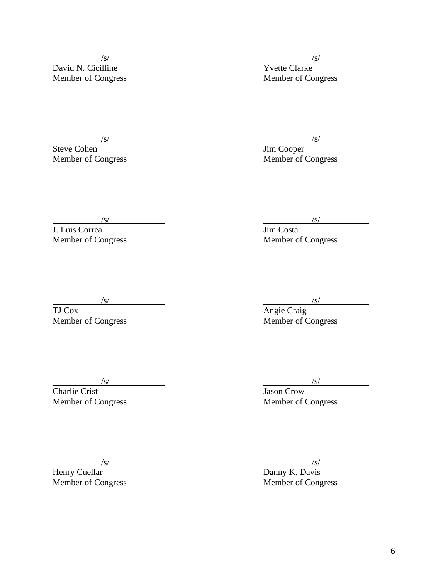Member of Congress

 $\frac{\sqrt{s}}{\sqrt{s}}$ <br>vid N. Cicilline  $\frac{\sqrt{s}}{\sqrt{s}}$ David N. Cicilline Yvette Clarke<br>
Member of Congress Member of Congress

 $\frac{1}{s}$  /s/  $\frac{1}{s}$  /s/  $\frac{1}{s}$  /s/  $\frac{1}{s}$  /s/  $\frac{1}{s}$  $\frac{\sqrt{s}}{\text{Jim Cooper}}$ <br>Member of Congress

Member of Congress

 $\frac{1}{\sqrt{S}}$ Member of Congress

Charlie Crist Jason Crow

 $\frac{1}{\text{Henry Cuellar}}$ 

 $\frac{1}{\sin \theta}$  /s/  $\frac{1}{\sin \theta}$  /s/ *(s)*<br>
J. Luis Correa *Jim Costa*<br>
Member of Congress Member of Congress

 $\frac{\sqrt{s}}{\text{Angle Craig}}$ <br>Member of Congress

 $\sqrt{s}$ /s/

Member of Congress Member of Congress Member of Congress

 $\frac{\sqrt{s}}{s}$  r Member of Congress Member of Congress Member of Congress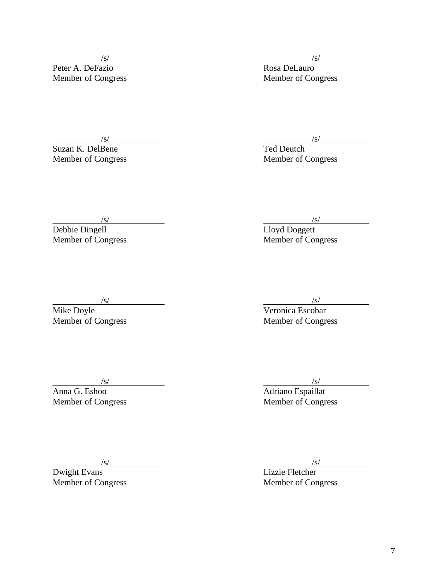Suzan K. DelBene<br>Member of Congress

 $\sqrt{s}$ /s/  $\sqrt{s}$ /s/  $\sqrt{s}$ /s/  $\sqrt{s}$ /s/  $\sqrt{s}$ /s/  $\sqrt{s}$ /s/  $\sqrt{s}$ /s/  $\sqrt{s}$ /s/  $\sqrt{s}$ /s/  $\sqrt{s}$ /s/  $\sqrt{s}$ /s/  $\sqrt{s}$ /s/  $\sqrt{s}$ /s/  $\sqrt{s}$ /s/  $\sqrt{s}$ /s/  $\sqrt{s}$ /s/  $\sqrt{s}$ /s/  $\sqrt{s}$ /s/  $\sqrt{s}$ /s/  $\sqrt{s}$ /s/  $\sqrt{s}$ /s/  $\sqrt{s}$ /s/

Peter A. DeFazio Rosa DeLauro<br>
Member of Congress Rosa DeLauro<br>
Member of Congress

 $\frac{\sqrt{s}}{\sqrt{s}}$  /s/  $\frac{\sqrt{s}}{\sqrt{s}}$  /s/  $\frac{\sqrt{s}}{\sqrt{s}}$  /s/  $\frac{\sqrt{s}}{\sqrt{s}}$  /s/  $\frac{\sqrt{s}}{\sqrt{s}}$  /s/  $\frac{\sqrt{s}}{\sqrt{s}}$  /s/  $\frac{\sqrt{s}}{\sqrt{s}}$  /s/  $\frac{\sqrt{s}}{\sqrt{s}}$  /s/  $\frac{\sqrt{s}}{\sqrt{s}}$  /s/  $\frac{\sqrt{s}}{\sqrt{s}}$  /s/  $\frac{\sqrt{s}}{\sqrt{s}}$  /s/  $\frac{\sqrt{s}}{\sqrt{s}}$  /s/  $\frac{\sqrt{s}}{\sqrt{s}}$  /s/ Member of Congress

*s/*<br> *Member of Congress*  $\frac{S}{\text{Debbie Dingell}}$ Member of Congress

 $\sqrt{s}$ /s/

Mike Doyle **Veronica Escobar**  $\frac{\sqrt{s}}{\sqrt{\frac{s}{s}}}$ <br>Mike Doyle<br>Member of Congress Member of Congress

Anna G. Eshoo Adriano Espaillat Member of Congress Member of Congress

 $\sqrt{s}$ /s/

 $\frac{1}{\text{Divight Evans}}$ 

*s*<br>s and the set of the set of the set of the set of the set of the set of the set of the set of the set of the set of the set of the set of the set of the set of the set of the set of the set of the set of the set of the Member of Congress Member of Congress Member of Congress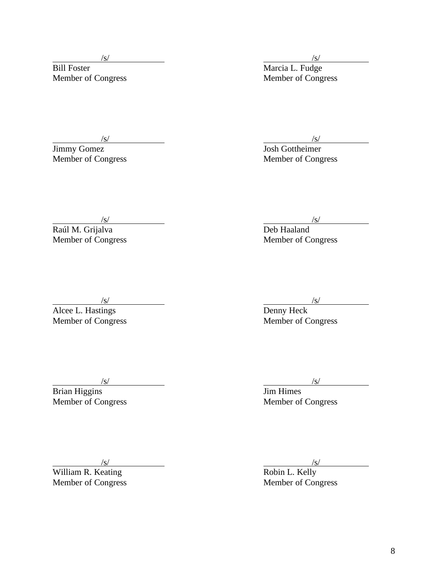$\sqrt{s}$ /s/

Bill Foster Marcia L. Fudge

Jimmy Gomez Josh Gottheimer Member of Congress Member of Congress

Member of Congress Member of Congress

 $\sqrt{s}$ /s/

Member of Congress

 $\sqrt{s}$ /s/

Alcee L. Hastings Denny Heck

Brian Higgins **Dimension Communist Except** Series and Jim Himes

 $\sqrt{s}$ /s/

William R. Keating **Robin L. Kelly** Robin L. Kelly

*(s)* //<br>Deb Haaland *(s)*<br>
Raúl M. Grijalva Deb Haaland<br>
Member of Congress Deb Haaland<br>
Member of Congress

Next (S)<br>  $\frac{S}{S}$ <br>
Member of Congress Member of Congress Member of Congress (S)<br>
Member of Congress (Member of Congress)

 $\sqrt{s}$ /s/

Member of Congress Member of Congress

Member of Congress Member of Congress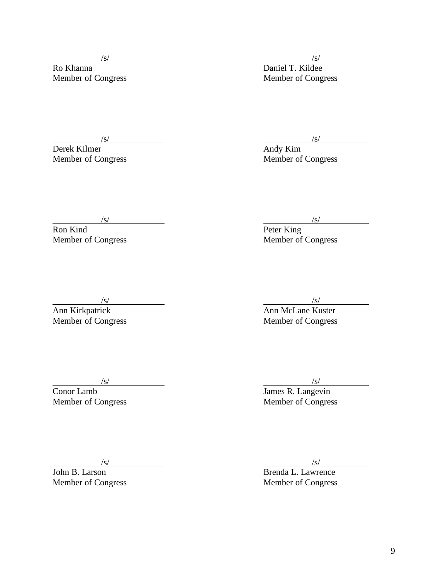Derek Kilmer<br>Member of Congress

 $\frac{1}{s}$ /s/

Ro Khanna<br>
Member of Congress<br>
Member of Congress<br>
Member of Congress

 $\frac{\sqrt{s}}{\sqrt{s}}$  /s/  $\frac{\sqrt{s}}{\sqrt{s}}$  /s/  $\frac{\sqrt{s}}{\sqrt{s}}$  /s/  $\frac{\sqrt{s}}{\sqrt{s}}$  /s/  $\frac{\sqrt{s}}{\sqrt{s}}$  /s/  $\frac{\sqrt{s}}{\sqrt{s}}$  /s/  $\frac{\sqrt{s}}{\sqrt{s}}$  /s/  $\frac{\sqrt{s}}{\sqrt{s}}$  /s/  $\frac{\sqrt{s}}{\sqrt{s}}$  /s/  $\frac{\sqrt{s}}{\sqrt{s}}$  /s/  $\frac{\sqrt{s}}{\sqrt{s}}$  /s/  $\frac{\sqrt{s}}{\sqrt{s}}$  /s/  $\frac{\sqrt{s}}{\sqrt{s}}$  /s/ Member of Congress

 $\sqrt{s}$ /s/

Ron Kind Peter King Member of Congress

 $\sqrt{s}$ /s/

Ann Kirkpatrick **Ann McLane Kuster** Ann McLane Kuster

Member of Congress Member of Congress

Conor Lamb James R. Langevin

 $\sqrt{s}$ /s/ Member of Congress (S)<br>
Member of Congress (Member of Congress Member of Congress)<br>
Member of Congress (Member of Congress)

*(s)* /s/<br>John B. Larson /s/<br>Brenda L. Lawrence

Brenda L. Lawrence Member of Congress Member of Congress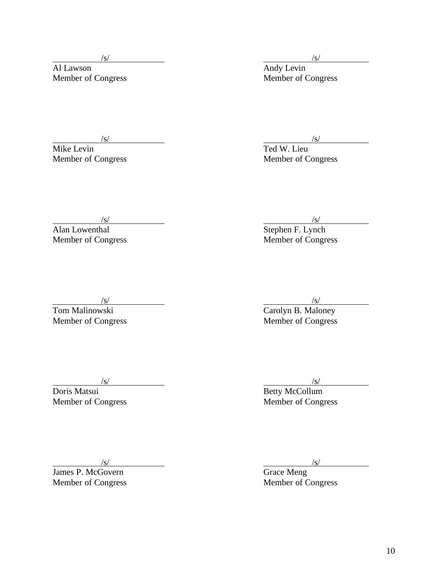Al Lawson **Andy Levin** 

 $\sqrt{s}$ /s/

Member of Congress Member of Congress Member of Congress

 $\frac{\sqrt{s}}{\text{Mike Levin}}$  /s/ Ted W. Lieu Member of Congress Member of Congress

Alan Lowenthal Stephen F. Lynch Member of Congress Member of Congress

 $\sqrt{s}$ /s/

Tom Malinowski **Carolyn B. Maloney** 

Doris Matsui **Betty McCollum** 

James P. McGovern

 $\sqrt{s}$ /s/

Member of Congress Member of Congress

 $\sqrt{s}$ /s/

Member of Congress Member of Congress

 /s/ /s/ Member of Congress Member of Congress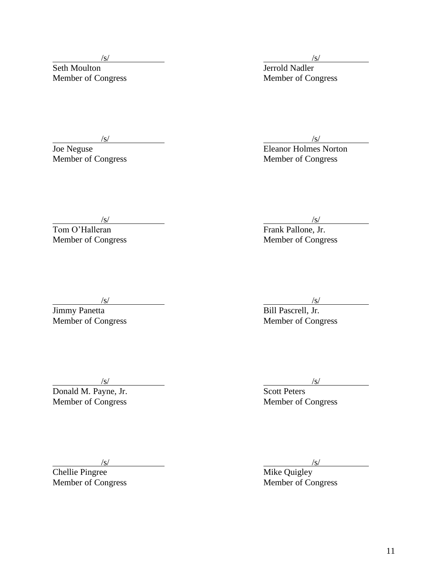$\frac{1}{s}$ /s/

Seth Moulton Jerrold Nadler Member of Congress Member of Congress Member of Congress

*(s)*<br>Ioe Neguse *(s)*<br>Eleanor Holmes Norton Joe Neguse<br>
Member of Congress<br>
Member of Congress<br>
Member of Congress Member of Congress

 $\sqrt{s}$ /s/

Tom O'Halleran Frank Pallone, Jr. Member of Congress Member of Congress

 $\sqrt{s}$ /s/

Jimmy Panetta Bill Pascrell, Jr.

Member of Congress Member of Congress

 $\sqrt{s}$ /s/

Donald M. Payne, Jr. Scott Peters

Member of Congress Member of Congress Member of Congress

Member of Congress

 /s/ /s/  $\frac{\sqrt{s}}{\sqrt{s}}$ <br>Chellie Pingree Member of Congress Member of Congress

11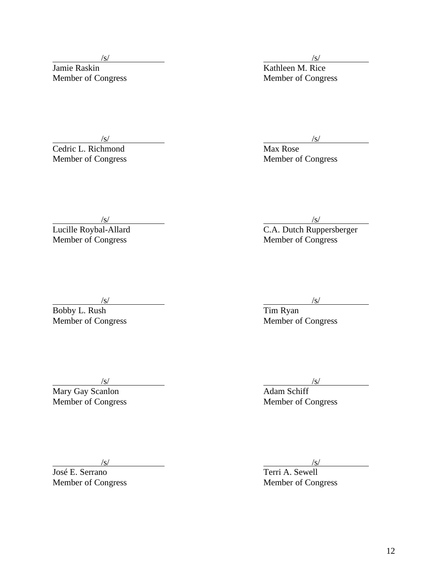Member of Congress Member of Congress Member of Congress

**Cedric L. Richmond** Max Rose Member of Congress Member of Congress

*(s)*<br>Jamie Raskin *(s)*<br> $\frac{1}{\sqrt{3}}$  /s/ Kathleen M. Rice

 $\sqrt{s}$ /s/

 $\sqrt{s}$ /s/

Lucille Roybal-Allard C.A. Dutch Ruppersberger Member of Congress Member of Congress

 $\sqrt{s}$ /s/

Bobby L. Rush Tim Ryan  $\frac{\sqrt{s}}{\text{Bobby L. Rush}}$  Tim Ryan<br>Member of Congress Member of Congress

Mary Gay Scanlon and Adam Schiff Member of Congress Member of Congress Member of Congress

 $\sqrt{s}$ /s/

José E. Serrano

 $\frac{\sqrt{s}}{\sqrt{s}}$  /s/ Member of Congress Member of Congress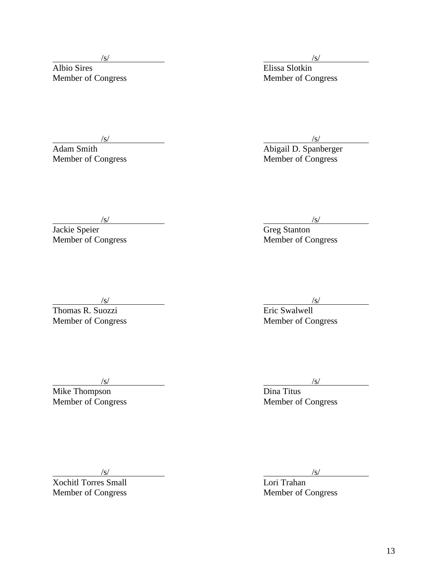Albio Sires **Elissa** Slotkin

 $\sqrt{s}$ /s/

Member of Congress Member of Congress

 $\sqrt{s}$ /s/ Adam Smith **Abigail D. Spanberger** Member of Congress Member of Congress

 $\sqrt{s}$ /s/ Jackie Speier Greg Stanton Vert<sup>/S/</sup><br>
Member of Congress Member of Congress Member of Congress Member of Congress Member of Congress Member of Congress And Allen And Allen And Allen And Allen And Allen And Allen And Allen And Allen And Allen And All

 $\sqrt{s}$ /s/

Thomas R. Suozzi Eric Swalwell Member of Congress Member of Congress

Mike Thompson **Dina Titus** 

 $\sqrt{s}$ /s/

Member of Congress Member of Congress Member of Congress

 $\sqrt{s}$ /s/

Xochitl Torres Small Lori Trahan Member of Congress Member of Congress Member of Congress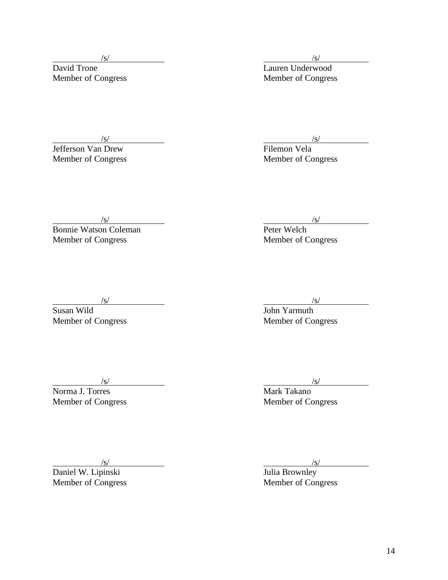/s/ /s/ Lauren Underwood Member of Congress Member of Congress Member of Congress

*son* Van Drew */s/ /s/ /s/ Filemon Vela <i>Primerical Primerical Primerical Primerical Primerical Primerical Primerical Primerical Primerical Primerical Primerical Primerical Primerical Pri* **Jefferson Van Drew Filemon Vela**<br> **Member of Congress**<br> **Member of Congress** 

 $\sqrt{s}$ /s/

Bonnie Watson Coleman Peter Welch Member of Congress Member of Congress

 $\sqrt{s}$ /s/

Susan Wild **Susan Wild** 

Member of Congress Member of Congress

Norma J. Torres **Mark Takano** 

 $\sqrt{s}$ /s/

Member of Congress Member of Congress

 $\sqrt{s}$ /s/

Daniel W. Lipinski and a strong version of the United Strong Julia Brownley

Member of Congress Member of Congress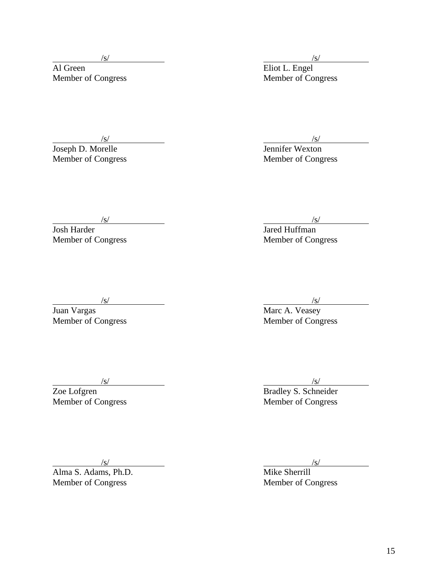Al Green Eliot L. Engel

 $\sqrt{s}$ /s/

Joseph D. Morelle Jennifer Wexton Member of Congress Member of Congress

 $\sqrt{s}$ /s/

Member of Congress Member of Congress

Josh Harder **Jackson** Jackson Jackson Jackson Jackson Jackson Jackson Jackson Jackson Jackson Jackson Jackson Jackson Jackson Jackson Jackson Jackson Jackson Jackson Jackson Jackson Jackson Jackson Jackson Jackson Jackson

 $\sqrt{s}$ /s/

Juan Vargas Marc A. Veasey

Member of Congress Member of Congress

Alma S. Adams, Ph.D. Member of Congress Member of Congress

 $\sqrt{s}$ /s/

Member of Congress Member of Congress Member of Congress

Value Vargas<br>
Marc A. Veasey<br>
Member of Congress Member of Congress

 $\sqrt{s}$ /s/ Zoe Lofgren Bradley S. Schneider

 $\frac{\sqrt{s}}{\text{m}}$  /s/<br>  $\frac{\sqrt{s}}{\text{m}}$  /s/